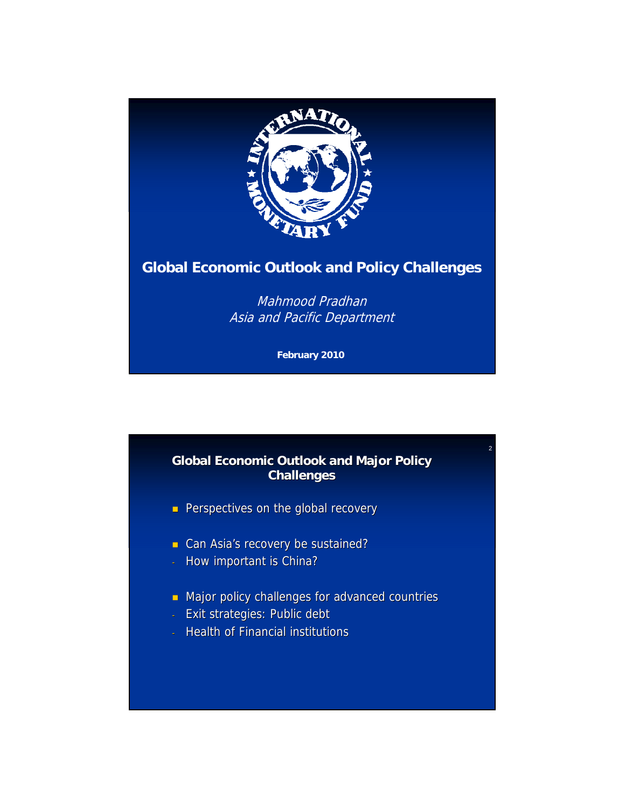

## **Global Economic Outlook and Policy Challenges**

Mahmood Pradhan Asia and Pacific Department

**February 2010**

### **Global Economic Outlook and Major Policy Challenges Challenges**

2

- **Perspectives on the global recovery**
- Can Asia's recovery be sustained?
- How important is China?
- $\blacksquare$  Major policy challenges for advanced countries
- Exit strategies: Public debt
- Health of Financial institutions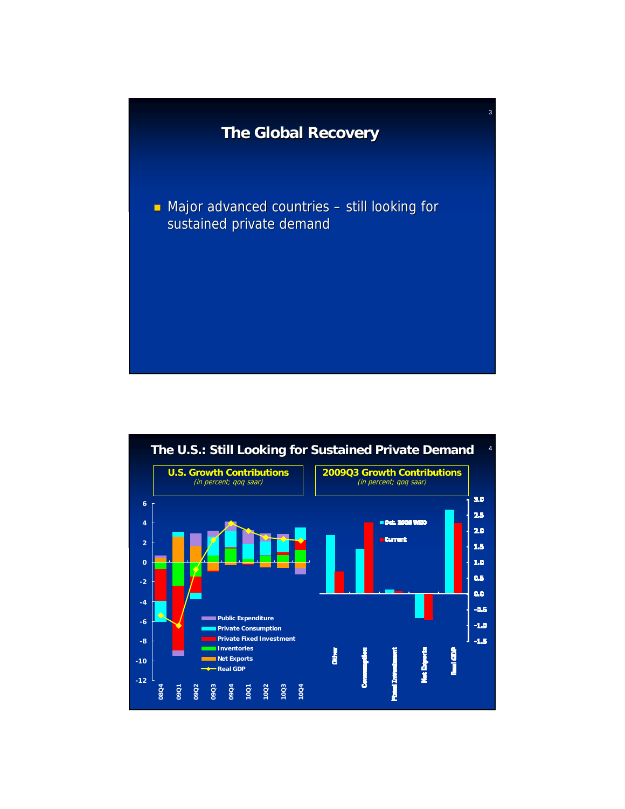

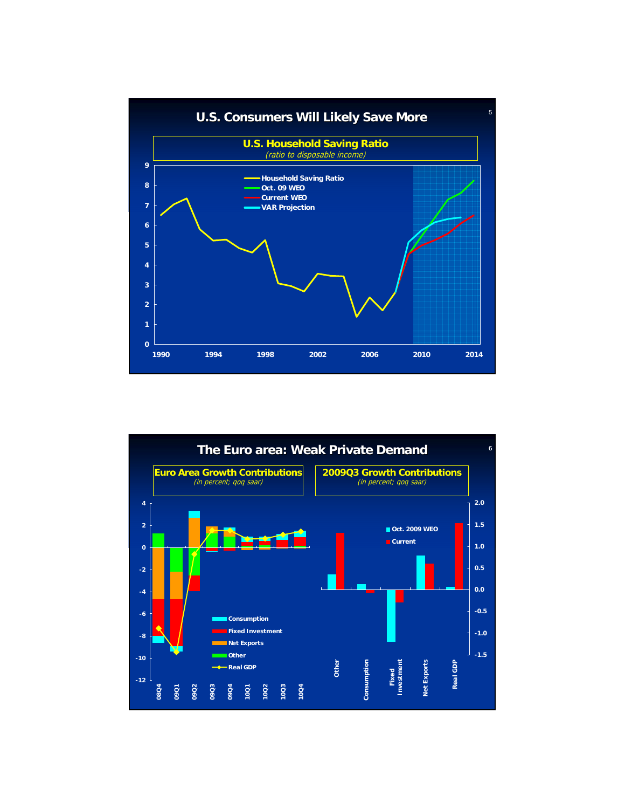

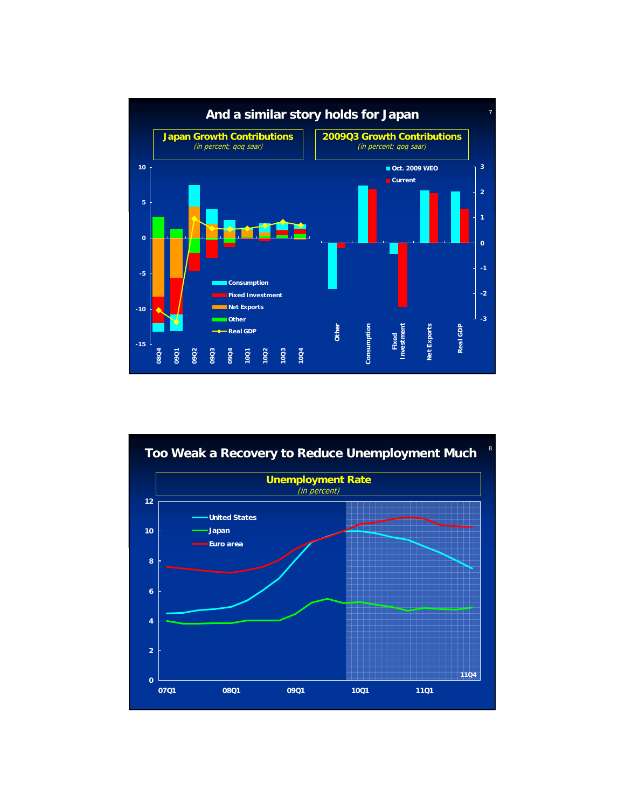

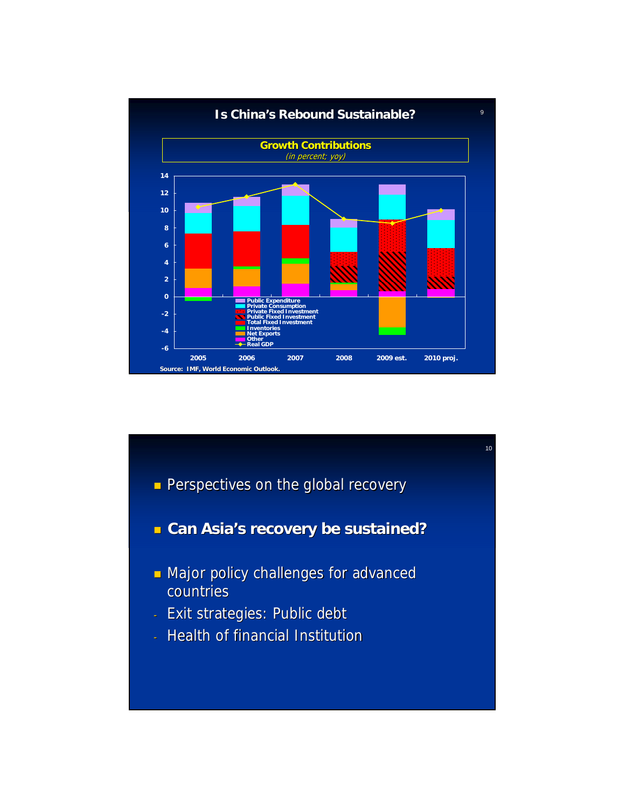

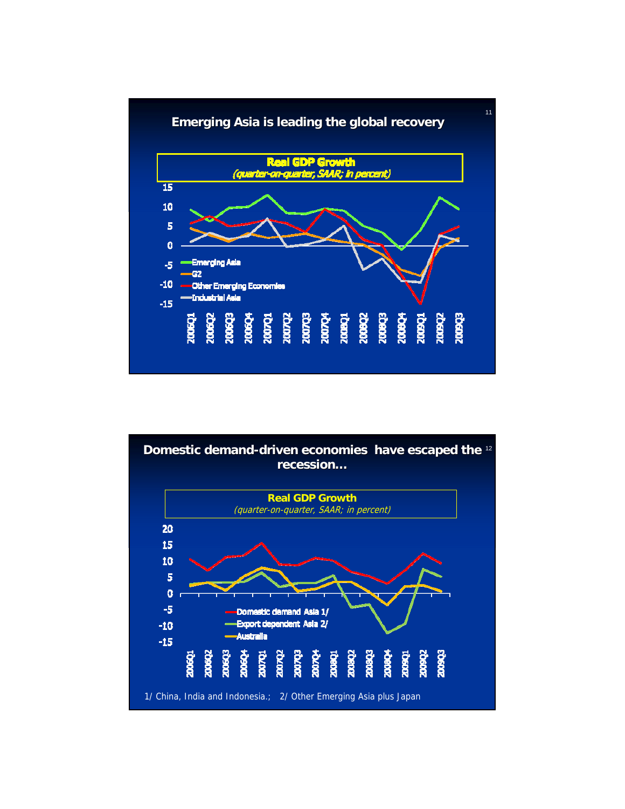

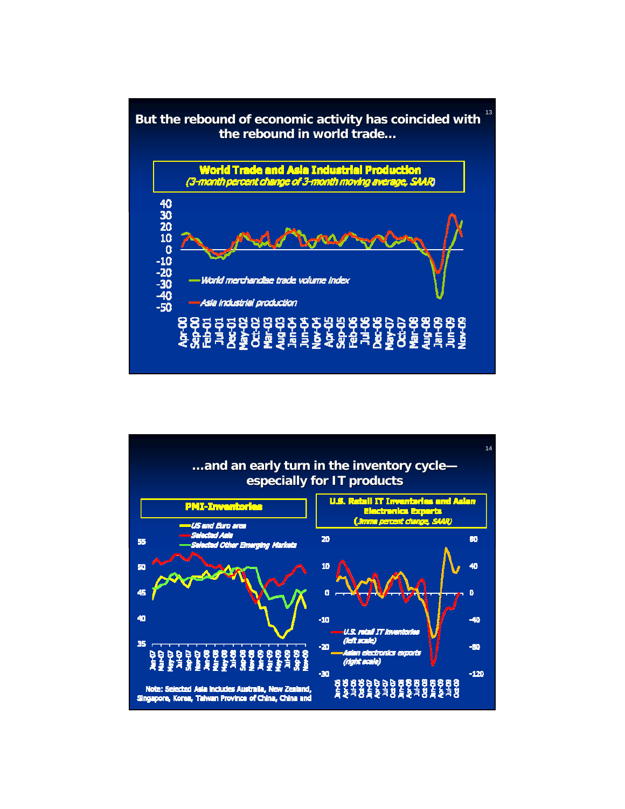

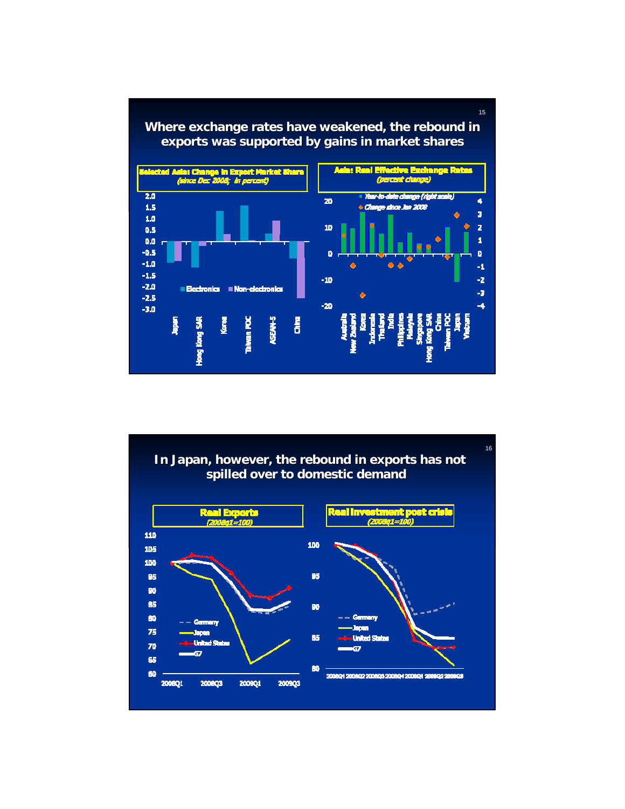

#### 16In Japan, however, the rebound in exports has not **spilled over to domestic demand Real Exports**<br>(2006q1=100) ter 110 100 105 100 95 95 90 es 90 80  $-$  Germany Germany Japan 75 Japan 85 **United Sta** 70 Ġ 65 60 60 2008Q1 2008Q2 2008Q3 2008Q4 2009Q1 2009Q2 2009Q3 2008Q1 2008Q3 2009Q1 200903

15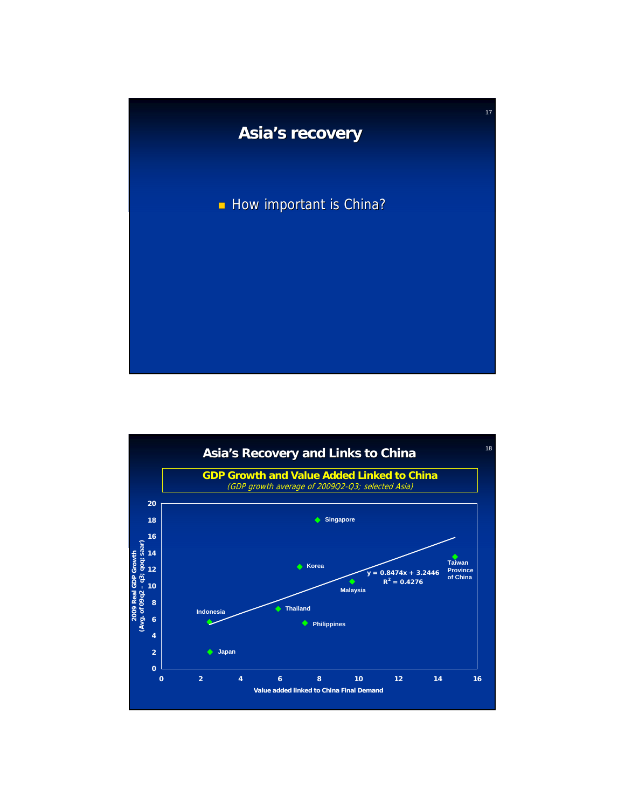

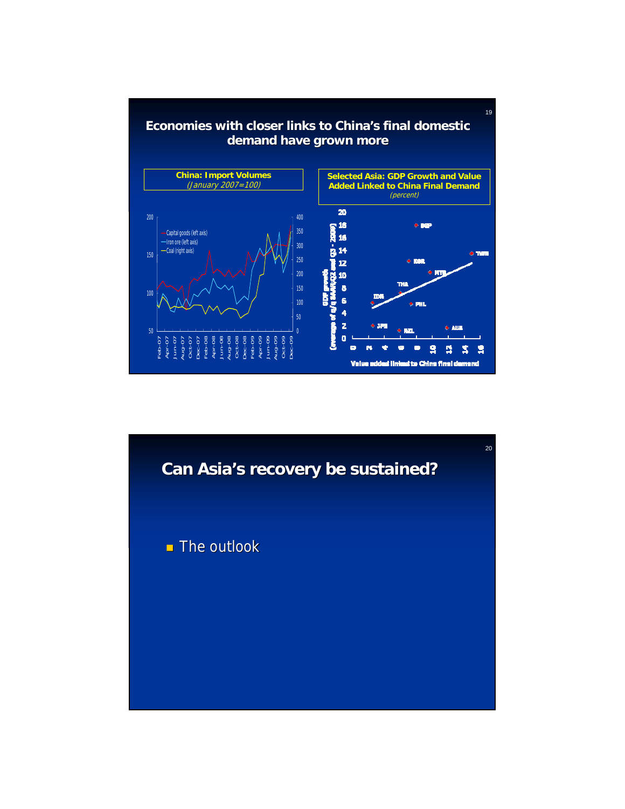

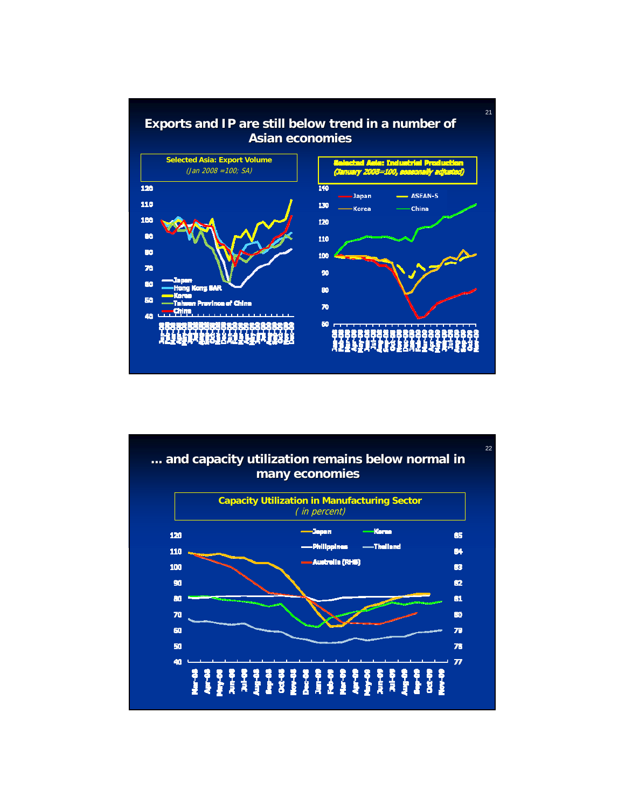

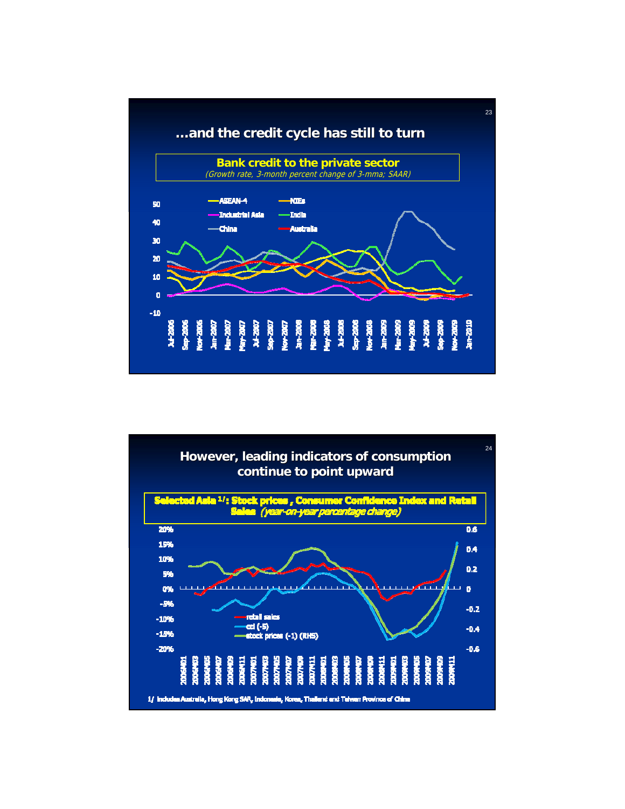

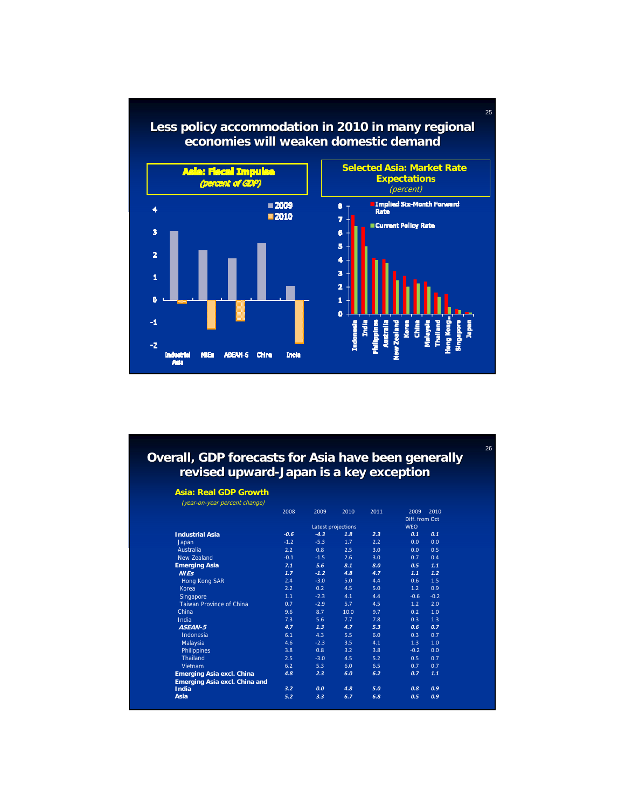

# **Less policy accommodation in 2010 in many regional**

25

26

### **Overall, GDP forecasts for Asia have been generally revised upward-Japan is a key exception**

### **Asia: Real GDP Growth**

| (year-on-year percent change)        |                    |        |      |      |                              |        |
|--------------------------------------|--------------------|--------|------|------|------------------------------|--------|
|                                      | 2008               | 2009   | 2010 | 2011 | 2009                         | 2010   |
|                                      | Latest projections |        |      |      | Diff. from Oct<br><b>WEO</b> |        |
|                                      |                    |        |      |      |                              |        |
| <b>Industrial Asia</b>               | $-0.6$             | $-4.3$ | 1.8  | 2.3  | 0.1                          | 0.1    |
| Japan                                | $-1.2$             | $-5.3$ | 1.7  | 2.2  | 0.0                          | 0.0    |
| Australia                            | 2.2                | 0.8    | 2.5  | 3.0  | 0.0                          | 0.5    |
| New Zealand                          | $-0.1$             | $-1.5$ | 2.6  | 3.0  | 0.7                          | 0.4    |
| <b>Emerging Asia</b>                 | 7.1                | 5.6    | 8.1  | 8.0  | 0.5                          | 1.1    |
| <b>NIEs</b>                          | 1.7                | $-1.2$ | 4.8  | 4.7  | 1.1                          | 1.2    |
| Hong Kong SAR                        | 2.4                | $-3.0$ | 5.0  | 4.4  | 0.6                          | 1.5    |
| Korea                                | 2.2                | 0.2    | 4.5  | 5.0  | 1.2                          | 0.9    |
| Singapore                            | 1.1                | $-2.3$ | 4.1  | 4.4  | $-0.6$                       | $-0.2$ |
| <b>Taiwan Province of China</b>      | 0.7                | $-2.9$ | 5.7  | 4.5  | 1.2                          | 2.0    |
| China                                | 9.6                | 8.7    | 10.0 | 9.7  | 0.2                          | 1.0    |
| <b>India</b>                         | 7.3                | 5.6    | 7.7  | 7.8  | 0.3                          | 1.3    |
| ASEAN-5                              | 4.7                | 1.3    | 4.7  | 5.3  | 0.6                          | 0.7    |
| Indonesia                            | 6.1                | 4.3    | 5.5  | 6.0  | 0.3                          | 0.7    |
| Malaysia                             | 4.6                | $-2.3$ | 3.5  | 4.1  | 1.3                          | 1.0    |
| Philippines                          | 3.8                | 0.8    | 3.2  | 3.8  | $-0.2$                       | 0.0    |
| Thailand                             | 2.5                | $-3.0$ | 4.5  | 5.2  | 0.5                          | 0.7    |
| Vietnam                              | 6.2                | 5.3    | 6.0  | 6.5  | 0.7                          | 0.7    |
| <b>Emerging Asia excl. China</b>     | 4.8                | 2.3    | 6.0  | 6.2  | 0.7                          | 1.1    |
| <b>Emerging Asia excl. China and</b> |                    |        |      |      |                              |        |
| <b>India</b>                         | 3.2                | 0.0    | 4.8  | 5.0  | 0.8                          | 0.9    |
| Asia                                 | 5.2                | 3.3    | 6.7  | 6.8  | 0.5                          | 0.9    |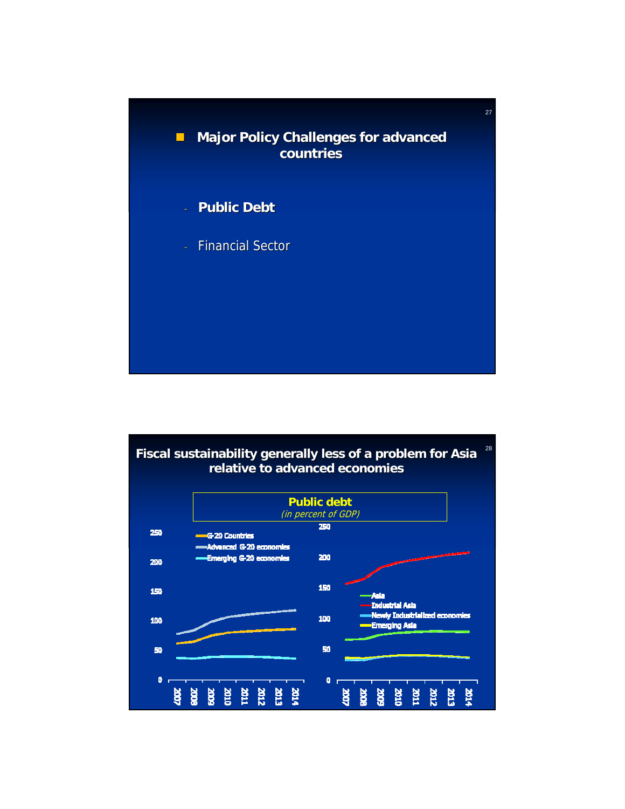

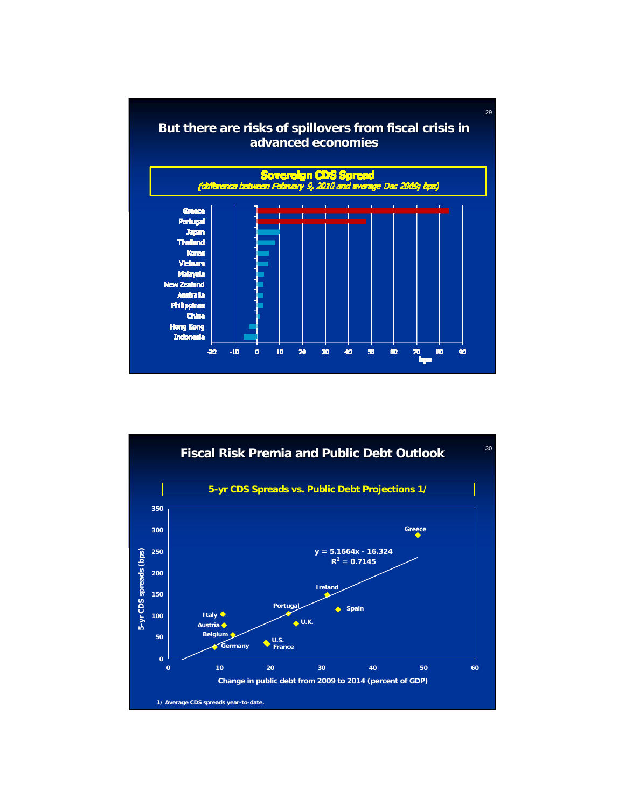

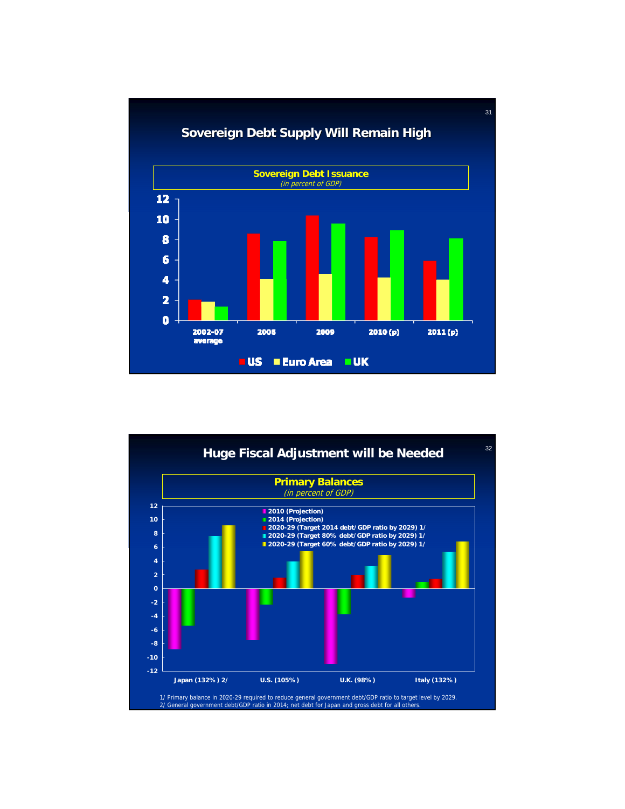

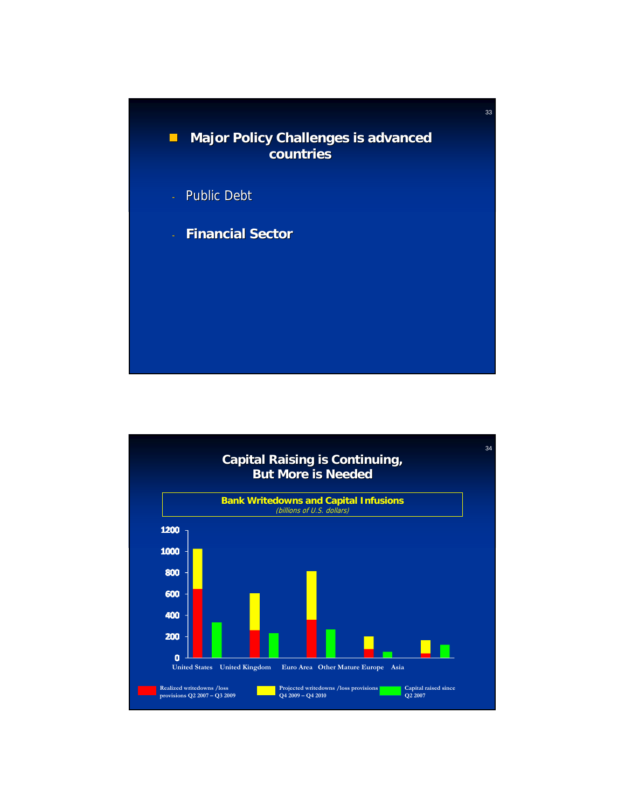

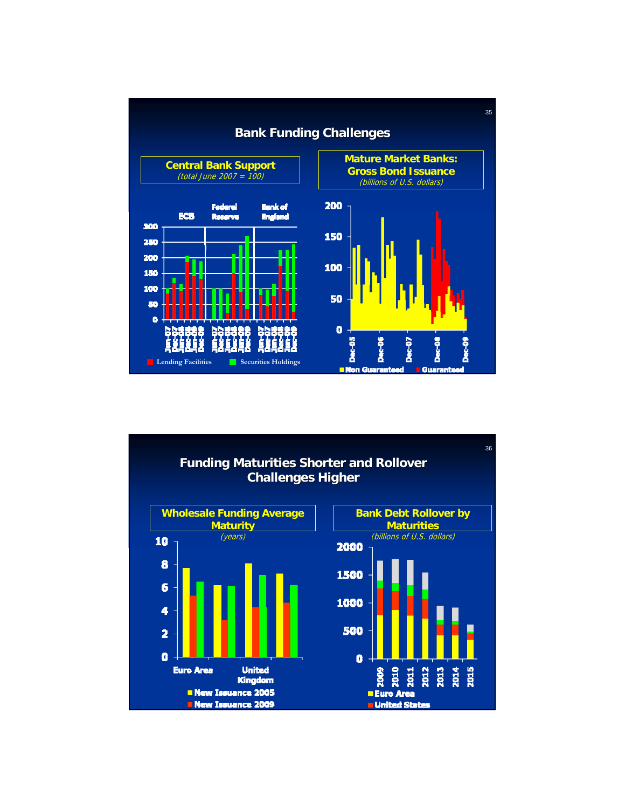